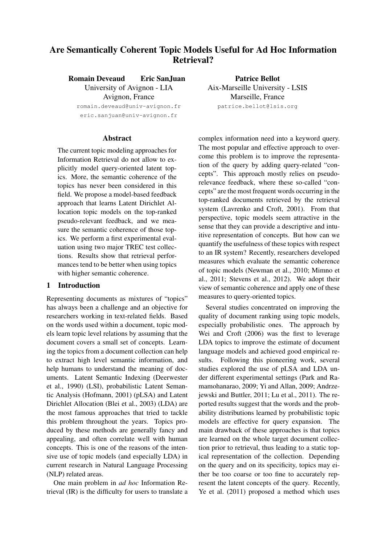# Are Semantically Coherent Topic Models Useful for Ad Hoc Information Retrieval?

Romain Deveaud Eric SanJuan University of Avignon - LIA Avignon, France

romain.deveaud@univ-avignon.fr eric.sanjuan@univ-avignon.fr

# Abstract

The current topic modeling approaches for Information Retrieval do not allow to explicitly model query-oriented latent topics. More, the semantic coherence of the topics has never been considered in this field. We propose a model-based feedback approach that learns Latent Dirichlet Allocation topic models on the top-ranked pseudo-relevant feedback, and we measure the semantic coherence of those topics. We perform a first experimental evaluation using two major TREC test collections. Results show that retrieval performances tend to be better when using topics with higher semantic coherence.

## 1 Introduction

Representing documents as mixtures of "topics" has always been a challenge and an objective for researchers working in text-related fields. Based on the words used within a document, topic models learn topic level relations by assuming that the document covers a small set of concepts. Learning the topics from a document collection can help to extract high level semantic information, and help humans to understand the meaning of documents. Latent Semantic Indexing (Deerwester et al., 1990) (LSI), probabilistic Latent Semantic Analysis (Hofmann, 2001) (pLSA) and Latent Dirichlet Allocation (Blei et al., 2003) (LDA) are the most famous approaches that tried to tackle this problem throughout the years. Topics produced by these methods are generally fancy and appealing, and often correlate well with human concepts. This is one of the reasons of the intensive use of topic models (and especially LDA) in current research in Natural Language Processing (NLP) related areas.

One main problem in *ad hoc* Information Retrieval (IR) is the difficulty for users to translate a

Patrice Bellot Aix-Marseille University - LSIS Marseille, France patrice.bellot@lsis.org

complex information need into a keyword query. The most popular and effective approach to overcome this problem is to improve the representation of the query by adding query-related "concepts". This approach mostly relies on pseudorelevance feedback, where these so-called "concepts" are the most frequent words occurring in the top-ranked documents retrieved by the retrieval system (Lavrenko and Croft, 2001). From that perspective, topic models seem attractive in the sense that they can provide a descriptive and intuitive representation of concepts. But how can we quantify the usefulness of these topics with respect to an IR system? Recently, researchers developed measures which evaluate the semantic coherence of topic models (Newman et al., 2010; Mimno et al., 2011; Stevens et al., 2012). We adopt their view of semantic coherence and apply one of these measures to query-oriented topics.

Several studies concentrated on improving the quality of document ranking using topic models, especially probabilistic ones. The approach by Wei and Croft (2006) was the first to leverage LDA topics to improve the estimate of document language models and achieved good empirical results. Following this pioneering work, several studies explored the use of pLSA and LDA under different experimental settings (Park and Ramamohanarao, 2009; Yi and Allan, 2009; Andrzejewski and Buttler, 2011; Lu et al., 2011). The reported results suggest that the words and the probability distributions learned by probabilistic topic models are effective for query expansion. The main drawback of these approaches is that topics are learned on the whole target document collection prior to retrieval, thus leading to a static topical representation of the collection. Depending on the query and on its specificity, topics may either be too coarse or too fine to accurately represent the latent concepts of the query. Recently, Ye et al. (2011) proposed a method which uses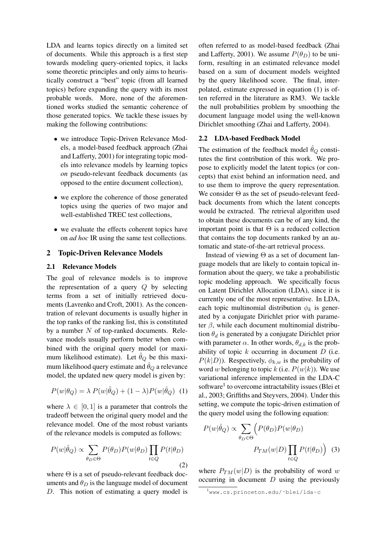LDA and learns topics directly on a limited set of documents. While this approach is a first step towards modeling query-oriented topics, it lacks some theoretic principles and only aims to heuristically construct a "best" topic (from all learned topics) before expanding the query with its most probable words. More, none of the aforementioned works studied the semantic coherence of those generated topics. We tackle these issues by making the following contributions:

- we introduce Topic-Driven Relevance Models, a model-based feedback approach (Zhai and Lafferty, 2001) for integrating topic models into relevance models by learning topics *on* pseudo-relevant feedback documents (as opposed to the entire document collection),
- we explore the coherence of those generated topics using the queries of two major and well-established TREC test collections,
- we evaluate the effects coherent topics have on *ad hoc* IR using the same test collections.

# 2 Topic-Driven Relevance Models

#### 2.1 Relevance Models

The goal of relevance models is to improve the representation of a query  $Q$  by selecting terms from a set of initially retrieved documents (Lavrenko and Croft, 2001). As the concentration of relevant documents is usually higher in the top ranks of the ranking list, this is constituted by a number  $N$  of top-ranked documents. Relevance models usually perform better when combined with the original query model (or maximum likelihood estimate). Let  $\theta_Q$  be this maximum likelihood query estimate and  $\hat{\theta}_Q$  a relevance model, the updated new query model is given by:

$$
P(w|\theta_Q) = \lambda P(w|\tilde{\theta}_Q) + (1-\lambda)P(w|\hat{\theta}_Q)
$$
 (1)

where  $\lambda \in [0, 1]$  is a parameter that controls the tradeoff between the original query model and the relevance model. One of the most robust variants of the relevance models is computed as follows:

$$
P(w|\hat{\theta}_Q) \propto \sum_{\theta_D \in \Theta} P(\theta_D) P(w|\theta_D) \prod_{t \in Q} P(t|\theta_D)
$$
\n(2)

where  $\Theta$  is a set of pseudo-relevant feedback documents and  $\theta_D$  is the language model of document D. This notion of estimating a query model is

often referred to as model-based feedback (Zhai and Lafferty, 2001). We assume  $P(\theta_D)$  to be uniform, resulting in an estimated relevance model based on a sum of document models weighted by the query likelihood score. The final, interpolated, estimate expressed in equation (1) is often referred in the literature as RM3. We tackle the null probabilities problem by smoothing the document language model using the well-known Dirichlet smoothing (Zhai and Lafferty, 2004).

#### 2.2 LDA-based Feedback Model

The estimation of the feedback model  $\hat{\theta}_Q$  constitutes the first contribution of this work. We propose to explicitly model the latent topics (or concepts) that exist behind an information need, and to use them to improve the query representation. We consider Θ as the set of pseudo-relevant feedback documents from which the latent concepts would be extracted. The retrieval algorithm used to obtain these documents can be of any kind, the important point is that  $\Theta$  is a reduced collection that contains the top documents ranked by an automatic and state-of-the-art retrieval process.

Instead of viewing  $\Theta$  as a set of document language models that are likely to contain topical information about the query, we take a probabilistic topic modeling approach. We specifically focus on Latent Dirichlet Allocation (LDA), since it is currently one of the most representative. In LDA, each topic multinomial distribution  $\phi_k$  is generated by a conjugate Dirichlet prior with parameter  $\beta$ , while each document multinomial distribution  $\theta_d$  is generated by a conjugate Dirichlet prior with parameter  $\alpha$ . In other words,  $\theta_{d,k}$  is the probability of topic  $k$  occurring in document  $D$  (i.e.  $P(k|D)$ ). Respectively,  $\phi_{k,w}$  is the probability of word w belonging to topic k (i.e.  $P(w|k)$ ). We use variational inference implemented in the LDA-C software<sup>1</sup> to overcome intractability issues (Blei et al., 2003; Griffiths and Steyvers, 2004). Under this setting, we compute the topic-driven estimation of the query model using the following equation:

$$
P(w|\hat{\theta}_Q) \propto \sum_{\theta_D \in \Theta} \left( P(\theta_D) P(w|\theta_D) \right)
$$

$$
P_{TM}(w|D) \prod_{t \in Q} P(t|\theta_D) \right) (3)
$$

where  $P_{TM}(w|D)$  is the probability of word w occurring in document  $D$  using the previously

<sup>1</sup>www.cs.princeton.edu/˜blei/lda-c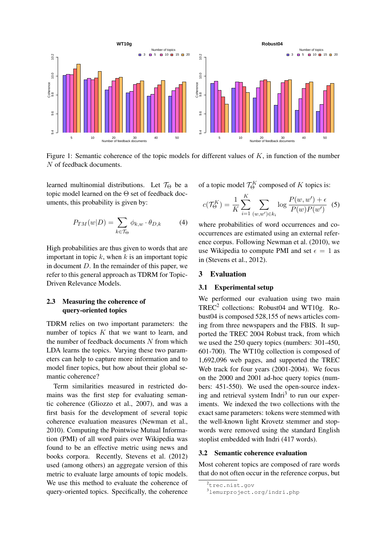

Figure 1: Semantic coherence of the topic models for different values of  $K$ , in function of the number N of feedback documents.

learned multinomial distributions. Let  $\mathcal{T}_{\Theta}$  be a topic model learned on the Θ set of feedback documents, this probability is given by:

$$
P_{TM}(w|D) = \sum_{k \in \mathcal{T}_{\Theta}} \phi_{k,w} \cdot \theta_{D,k} \tag{4}
$$

High probabilities are thus given to words that are important in topic  $k$ , when  $k$  is an important topic in document  $D$ . In the remainder of this paper, we refer to this general approach as TDRM for Topic-Driven Relevance Models.

# 2.3 Measuring the coherence of query-oriented topics

TDRM relies on two important parameters: the number of topics  $K$  that we want to learn, and the number of feedback documents  $N$  from which LDA learns the topics. Varying these two parameters can help to capture more information and to model finer topics, but how about their global semantic coherence?

Term similarities measured in restricted domains was the first step for evaluating semantic coherence (Gliozzo et al., 2007), and was a first basis for the development of several topic coherence evaluation measures (Newman et al., 2010). Computing the Pointwise Mutual Information (PMI) of all word pairs over Wikipedia was found to be an effective metric using news and books corpora. Recently, Stevens et al. (2012) used (among others) an aggregate version of this metric to evaluate large amounts of topic models. We use this method to evaluate the coherence of query-oriented topics. Specifically, the coherence of a topic model  $\mathcal{T}_{\Theta}^K$  composed of K topics is:

$$
c(\mathcal{T}_{\Theta}^{K}) = \frac{1}{K} \sum_{i=1}^{K} \sum_{(w,w') \in k_{i}} \log \frac{P(w,w') + \epsilon}{P(w)P(w')} \tag{5}
$$

where probabilities of word occurrences and cooccurrences are estimated using an external reference corpus. Following Newman et al. (2010), we use Wikipedia to compute PMI and set  $\epsilon = 1$  as in (Stevens et al., 2012).

#### 3 Evaluation

## 3.1 Experimental setup

We performed our evaluation using two main TREC<sup>2</sup> collections: Robust04 and WT10g. Robust04 is composed 528,155 of news articles coming from three newspapers and the FBIS. It supported the TREC 2004 Robust track, from which we used the 250 query topics (numbers: 301-450, 601-700). The WT10g collection is composed of 1,692,096 web pages, and supported the TREC Web track for four years (2001-2004). We focus on the 2000 and 2001 ad-hoc query topics (numbers: 451-550). We used the open-source indexing and retrieval system Indri<sup>3</sup> to run our experiments. We indexed the two collections with the exact same parameters: tokens were stemmed with the well-known light Krovetz stemmer and stopwords were removed using the standard English stoplist embedded with Indri (417 words).

## 3.2 Semantic coherence evaluation

Most coherent topics are composed of rare words that do not often occur in the reference corpus, but

<sup>2</sup>trec.nist.gov

<sup>3</sup>lemurproject.org/indri.php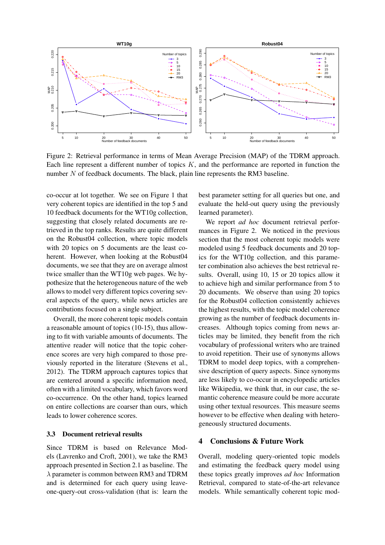

Figure 2: Retrieval performance in terms of Mean Average Precision (MAP) of the TDRM approach. Each line represent a different number of topics  $K$ , and the performance are reported in function the number N of feedback documents. The black, plain line represents the RM3 baseline.

co-occur at lot together. We see on Figure 1 that very coherent topics are identified in the top 5 and 10 feedback documents for the WT10g collection, suggesting that closely related documents are retrieved in the top ranks. Results are quite different on the Robust04 collection, where topic models with 20 topics on 5 documents are the least coherent. However, when looking at the Robust04 documents, we see that they are on average almost twice smaller than the WT10g web pages. We hypothesize that the heterogeneous nature of the web allows to model very different topics covering several aspects of the query, while news articles are contributions focused on a single subject.

Overall, the more coherent topic models contain a reasonable amount of topics (10-15), thus allowing to fit with variable amounts of documents. The attentive reader will notice that the topic coherence scores are very high compared to those previously reported in the literature (Stevens et al., 2012). The TDRM approach captures topics that are centered around a specific information need, often with a limited vocabulary, which favors word co-occurrence. On the other hand, topics learned on entire collections are coarser than ours, which leads to lower coherence scores.

#### 3.3 Document retrieval results

Since TDRM is based on Relevance Models (Lavrenko and Croft, 2001), we take the RM3 approach presented in Section 2.1 as baseline. The  $\lambda$  parameter is common between RM3 and TDRM and is determined for each query using leaveone-query-out cross-validation (that is: learn the best parameter setting for all queries but one, and evaluate the held-out query using the previously learned parameter).

We report *ad hoc* document retrieval performances in Figure 2. We noticed in the previous section that the most coherent topic models were modeled using 5 feedback documents and 20 topics for the WT10g collection, and this parameter combination also achieves the best retrieval results. Overall, using 10, 15 or 20 topics allow it to achieve high and similar performance from 5 to 20 documents. We observe than using 20 topics for the Robust04 collection consistently achieves the highest results, with the topic model coherence growing as the number of feedback documents increases. Although topics coming from news articles may be limited, they benefit from the rich vocabulary of professional writers who are trained to avoid repetition. Their use of synonyms allows TDRM to model deep topics, with a comprehensive description of query aspects. Since synonyms are less likely to co-occur in encyclopedic articles like Wikipedia, we think that, in our case, the semantic coherence measure could be more accurate using other textual resources. This measure seems however to be effective when dealing with heterogeneously structured documents.

#### 4 Conclusions & Future Work

Overall, modeling query-oriented topic models and estimating the feedback query model using these topics greatly improves *ad hoc* Information Retrieval, compared to state-of-the-art relevance models. While semantically coherent topic mod